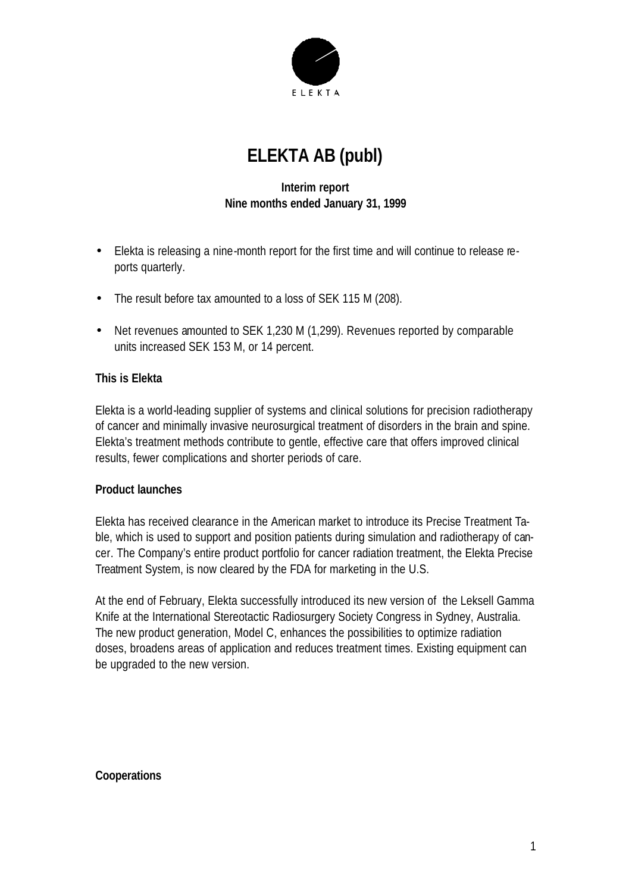

# **ELEKTA AB (publ)**

# **Interim report Nine months ended January 31, 1999**

- Elekta is releasing a nine-month report for the first time and will continue to release reports quarterly.
- The result before tax amounted to a loss of SEK 115 M (208).
- Net revenues amounted to SEK 1,230 M (1,299). Revenues reported by comparable units increased SEK 153 M, or 14 percent.

#### **This is Elekta**

Elekta is a world-leading supplier of systems and clinical solutions for precision radiotherapy of cancer and minimally invasive neurosurgical treatment of disorders in the brain and spine. Elekta's treatment methods contribute to gentle, effective care that offers improved clinical results, fewer complications and shorter periods of care.

#### **Product launches**

Elekta has received clearance in the American market to introduce its Precise Treatment Table, which is used to support and position patients during simulation and radiotherapy of cancer. The Company's entire product portfolio for cancer radiation treatment, the Elekta Precise Treatment System, is now cleared by the FDA for marketing in the U.S.

At the end of February, Elekta successfully introduced its new version of the Leksell Gamma Knife at the International Stereotactic Radiosurgery Society Congress in Sydney, Australia. The new product generation, Model C, enhances the possibilities to optimize radiation doses, broadens areas of application and reduces treatment times. Existing equipment can be upgraded to the new version.

#### **Cooperations**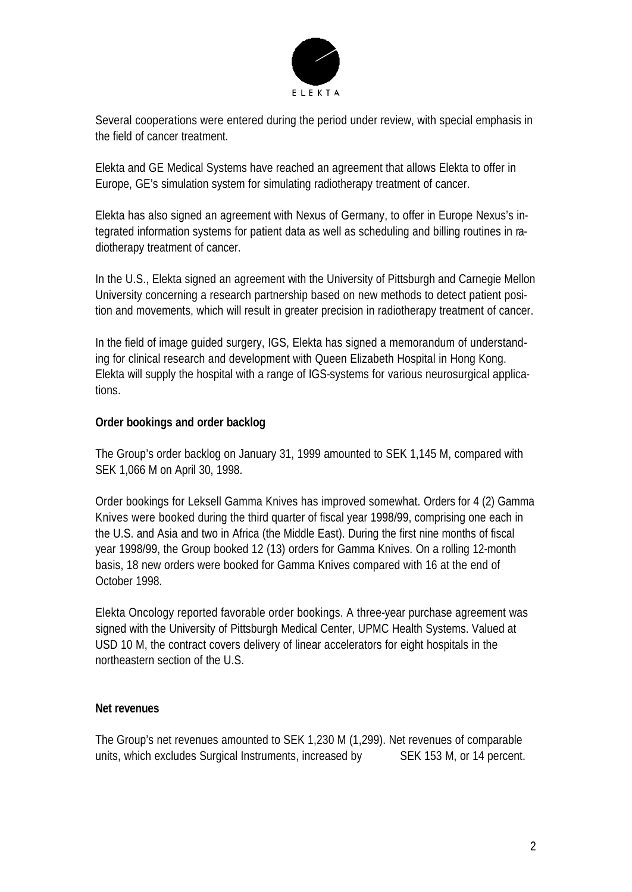

Several cooperations were entered during the period under review, with special emphasis in the field of cancer treatment.

Elekta and GE Medical Systems have reached an agreement that allows Elekta to offer in Europe, GE's simulation system for simulating radiotherapy treatment of cancer.

Elekta has also signed an agreement with Nexus of Germany, to offer in Europe Nexus's integrated information systems for patient data as well as scheduling and billing routines in radiotherapy treatment of cancer.

In the U.S., Elekta signed an agreement with the University of Pittsburgh and Carnegie Mellon University concerning a research partnership based on new methods to detect patient position and movements, which will result in greater precision in radiotherapy treatment of cancer.

In the field of image guided surgery, IGS, Elekta has signed a memorandum of understanding for clinical research and development with Queen Elizabeth Hospital in Hong Kong. Elekta will supply the hospital with a range of IGS-systems for various neurosurgical applications.

#### **Order bookings and order backlog**

The Group's order backlog on January 31, 1999 amounted to SEK 1,145 M, compared with SEK 1,066 M on April 30, 1998.

Order bookings for Leksell Gamma Knives has improved somewhat. Orders for 4 (2) Gamma Knives were booked during the third quarter of fiscal year 1998/99, comprising one each in the U.S. and Asia and two in Africa (the Middle East). During the first nine months of fiscal year 1998/99, the Group booked 12 (13) orders for Gamma Knives. On a rolling 12-month basis, 18 new orders were booked for Gamma Knives compared with 16 at the end of October 1998.

Elekta Oncology reported favorable order bookings. A three-year purchase agreement was signed with the University of Pittsburgh Medical Center, UPMC Health Systems. Valued at USD 10 M, the contract covers delivery of linear accelerators for eight hospitals in the northeastern section of the U.S.

#### **Net revenues**

The Group's net revenues amounted to SEK 1,230 M (1,299). Net revenues of comparable units, which excludes Surgical Instruments, increased by SEK 153 M, or 14 percent.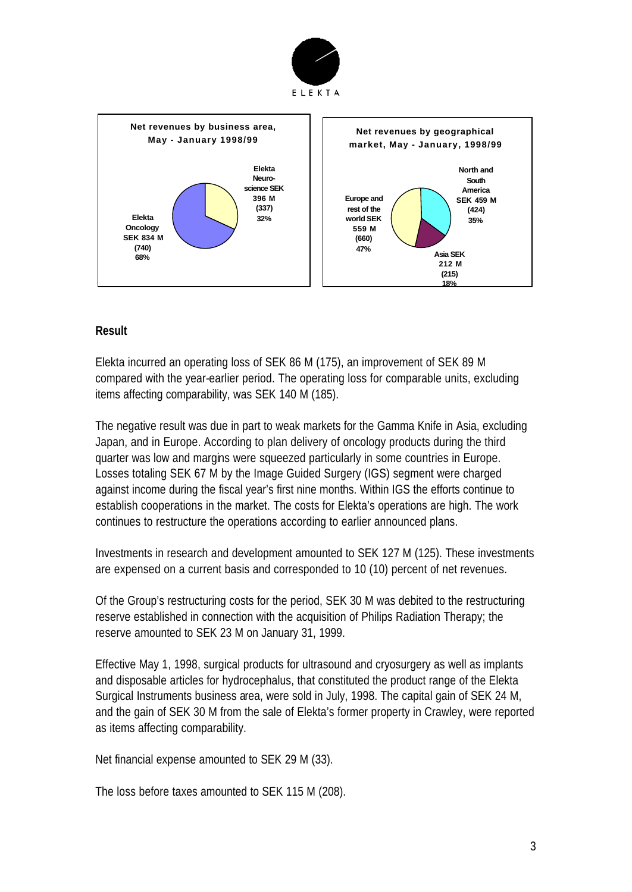



# **Result**

Elekta incurred an operating loss of SEK 86 M (175), an improvement of SEK 89 M compared with the year-earlier period. The operating loss for comparable units, excluding items affecting comparability, was SEK 140 M (185).

The negative result was due in part to weak markets for the Gamma Knife in Asia, excluding Japan, and in Europe. According to plan delivery of oncology products during the third quarter was low and margins were squeezed particularly in some countries in Europe. Losses totaling SEK 67 M by the Image Guided Surgery (IGS) segment were charged against income during the fiscal year's first nine months. Within IGS the efforts continue to establish cooperations in the market. The costs for Elekta's operations are high. The work continues to restructure the operations according to earlier announced plans.

Investments in research and development amounted to SEK 127 M (125). These investments are expensed on a current basis and corresponded to 10 (10) percent of net revenues.

Of the Group's restructuring costs for the period, SEK 30 M was debited to the restructuring reserve established in connection with the acquisition of Philips Radiation Therapy; the reserve amounted to SEK 23 M on January 31, 1999.

Effective May 1, 1998, surgical products for ultrasound and cryosurgery as well as implants and disposable articles for hydrocephalus, that constituted the product range of the Elekta Surgical Instruments business area, were sold in July, 1998. The capital gain of SEK 24 M, and the gain of SEK 30 M from the sale of Elekta's former property in Crawley, were reported as items affecting comparability.

Net financial expense amounted to SEK 29 M (33).

The loss before taxes amounted to SEK 115 M (208).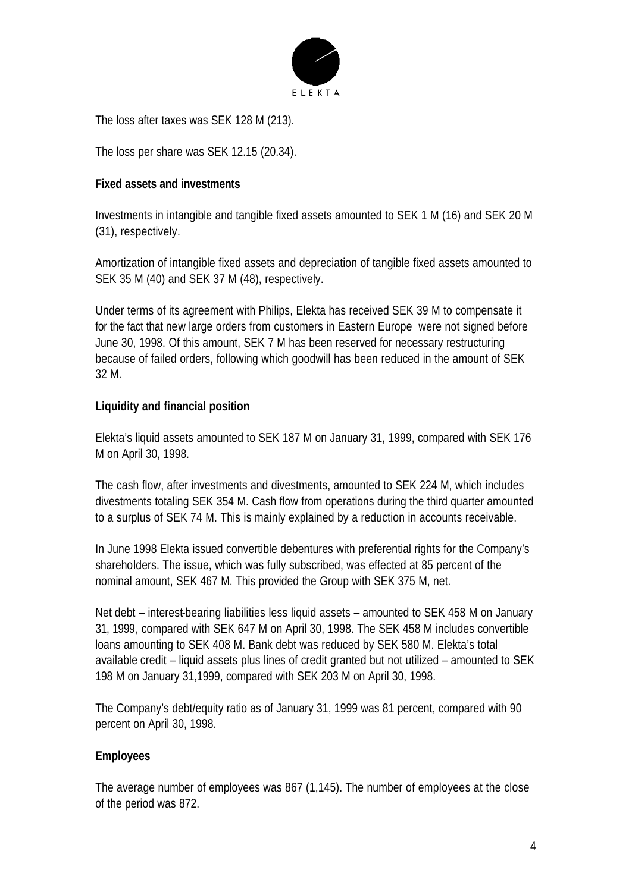

The loss after taxes was SEK 128 M (213).

The loss per share was SEK 12.15 (20.34).

### **Fixed assets and investments**

Investments in intangible and tangible fixed assets amounted to SEK 1 M (16) and SEK 20 M (31), respectively.

Amortization of intangible fixed assets and depreciation of tangible fixed assets amounted to SEK 35 M (40) and SEK 37 M (48), respectively.

Under terms of its agreement with Philips, Elekta has received SEK 39 M to compensate it for the fact that new large orders from customers in Eastern Europe were not signed before June 30, 1998. Of this amount, SEK 7 M has been reserved for necessary restructuring because of failed orders, following which goodwill has been reduced in the amount of SEK 32 M.

# **Liquidity and financial position**

Elekta's liquid assets amounted to SEK 187 M on January 31, 1999, compared with SEK 176 M on April 30, 1998.

The cash flow, after investments and divestments, amounted to SEK 224 M, which includes divestments totaling SEK 354 M. Cash flow from operations during the third quarter amounted to a surplus of SEK 74 M. This is mainly explained by a reduction in accounts receivable.

In June 1998 Elekta issued convertible debentures with preferential rights for the Company's shareholders. The issue, which was fully subscribed, was effected at 85 percent of the nominal amount, SEK 467 M. This provided the Group with SEK 375 M, net.

Net debt – interest-bearing liabilities less liquid assets – amounted to SEK 458 M on January 31, 1999, compared with SEK 647 M on April 30, 1998. The SEK 458 M includes convertible loans amounting to SEK 408 M. Bank debt was reduced by SEK 580 M. Elekta's total available credit – liquid assets plus lines of credit granted but not utilized – amounted to SEK 198 M on January 31,1999, compared with SEK 203 M on April 30, 1998.

The Company's debt/equity ratio as of January 31, 1999 was 81 percent, compared with 90 percent on April 30, 1998.

# **Employees**

The average number of employees was 867 (1,145). The number of employees at the close of the period was 872.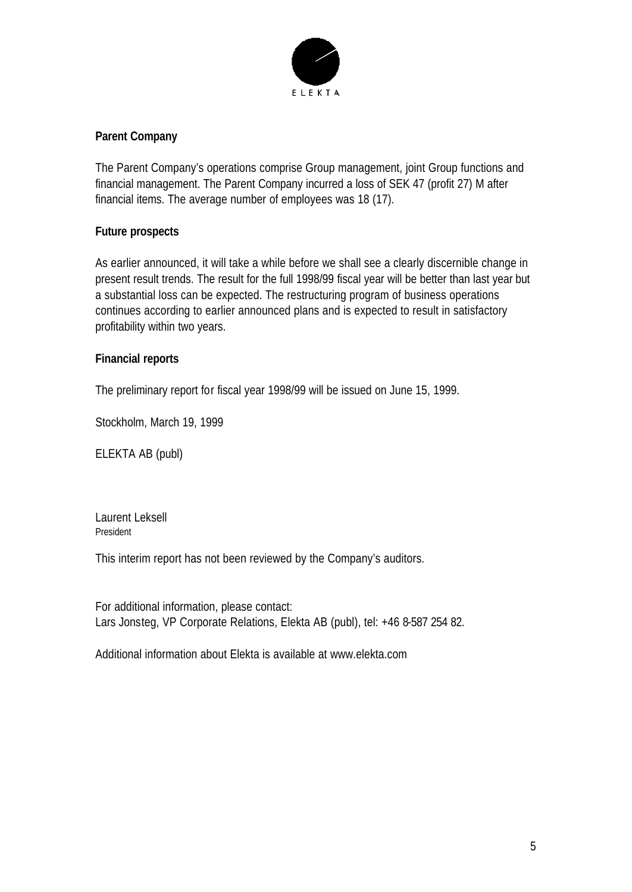

# **Parent Company**

The Parent Company's operations comprise Group management, joint Group functions and financial management. The Parent Company incurred a loss of SEK 47 (profit 27) M after financial items. The average number of employees was 18 (17).

# **Future prospects**

As earlier announced, it will take a while before we shall see a clearly discernible change in present result trends. The result for the full 1998/99 fiscal year will be better than last year but a substantial loss can be expected. The restructuring program of business operations continues according to earlier announced plans and is expected to result in satisfactory profitability within two years.

# **Financial reports**

The preliminary report for fiscal year 1998/99 will be issued on June 15, 1999.

Stockholm, March 19, 1999

ELEKTA AB (publ)

Laurent Leksell President

This interim report has not been reviewed by the Company's auditors.

For additional information, please contact: Lars Jonsteg, VP Corporate Relations, Elekta AB (publ), tel: +46 8-587 254 82.

Additional information about Elekta is available at www.elekta.com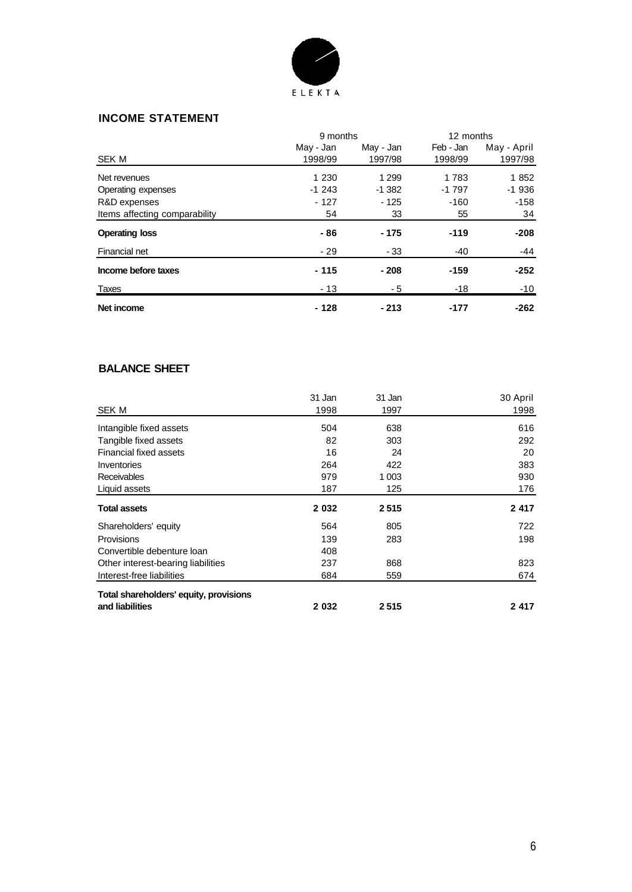

#### **INCOME STATEMENT**

|                               | 9 months  |           | 12 months |             |
|-------------------------------|-----------|-----------|-----------|-------------|
|                               | May - Jan | May - Jan | Feb - Jan | May - April |
| <b>SEK M</b>                  | 1998/99   | 1997/98   | 1998/99   | 1997/98     |
| Net revenues                  | 1 2 3 0   | 1 2 9 9   | 1783      | 1852        |
| Operating expenses            | $-1243$   | $-1382$   | $-1797$   | $-1936$     |
| R&D expenses                  | $-127$    | $-125$    | $-160$    | -158        |
| Items affecting comparability | 54        | 33        | 55        | 34          |
| <b>Operating loss</b>         | - 86      | - 175     | $-119$    | -208        |
| Financial net                 | - 29      | - 33      | -40       | $-44$       |
| Income before taxes           | $-115$    | $-208$    | $-159$    | $-252$      |
| Taxes                         | $-13$     | - 5       | $-18$     | $-10$       |
| Net income                    | $-128$    | $-213$    | $-177$    | $-262$      |

#### **BALANCE SHEET**

|                                        | 31 Jan  | 31 Jan  | 30 April |
|----------------------------------------|---------|---------|----------|
| SEK M                                  | 1998    | 1997    | 1998     |
| Intangible fixed assets                | 504     | 638     | 616      |
| Tangible fixed assets                  | 82      | 303     | 292      |
| <b>Financial fixed assets</b>          | 16      | 24      | 20       |
| Inventories                            | 264     | 422     | 383      |
| Receivables                            | 979     | 1 0 0 3 | 930      |
| Liquid assets                          | 187     | 125     | 176      |
| <b>Total assets</b>                    | 2 0 3 2 | 2515    | 2 4 1 7  |
| Shareholders' equity                   | 564     | 805     | 722      |
| Provisions                             | 139     | 283     | 198      |
| Convertible debenture loan             | 408     |         |          |
| Other interest-bearing liabilities     | 237     | 868     | 823      |
| Interest-free liabilities              | 684     | 559     | 674      |
| Total shareholders' equity, provisions |         |         |          |
| and liabilities                        | 2 0 3 2 | 2515    | 2417     |